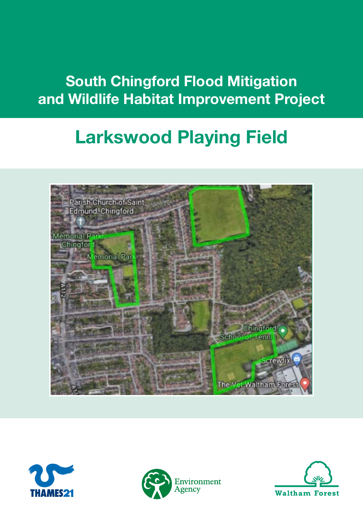## South Chingford Flood Mitigation and Wildlife Habitat Improvement Project

# Larkswood Playing Field